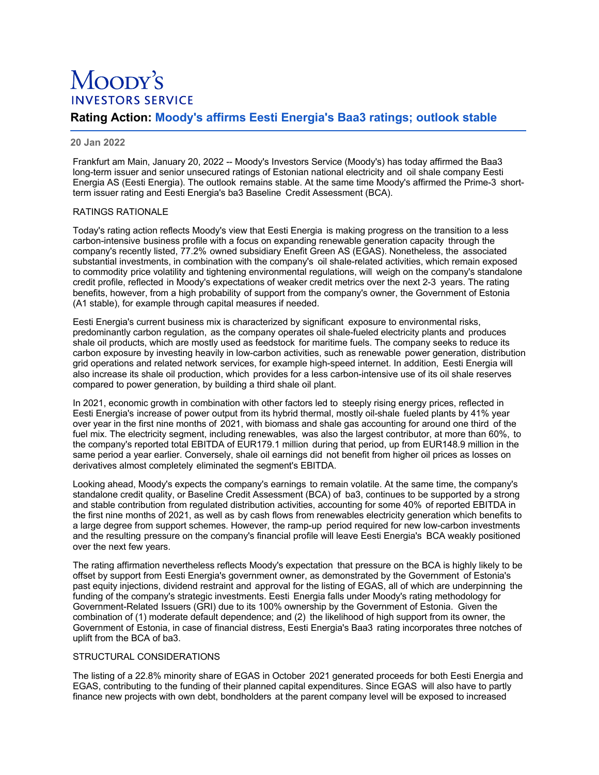# Moopy's **INVESTORS SERVICE**

# **Rating Action: Moody's affirms Eesti Energia's Baa3 ratings; outlook stable**

# **20 Jan 2022**

Frankfurt am Main, January 20, 2022 -- Moody's Investors Service (Moody's) has today affirmed the Baa3 long-term issuer and senior unsecured ratings of Estonian national electricity and oil shale company Eesti Energia AS (Eesti Energia). The outlook remains stable. At the same time Moody's affirmed the Prime-3 shortterm issuer rating and Eesti Energia's ba3 Baseline Credit Assessment (BCA).

### RATINGS RATIONALE

Today's rating action reflects Moody's view that Eesti Energia is making progress on the transition to a less carbon-intensive business profile with a focus on expanding renewable generation capacity through the company's recently listed, 77.2% owned subsidiary Enefit Green AS (EGAS). Nonetheless, the associated substantial investments, in combination with the company's oil shale-related activities, which remain exposed to commodity price volatility and tightening environmental regulations, will weigh on the company's standalone credit profile, reflected in Moody's expectations of weaker credit metrics over the next 2-3 years. The rating benefits, however, from a high probability of support from the company's owner, the Government of Estonia (A1 stable), for example through capital measures if needed.

Eesti Energia's current business mix is characterized by significant exposure to environmental risks, predominantly carbon regulation, as the company operates oil shale-fueled electricity plants and produces shale oil products, which are mostly used as feedstock for maritime fuels. The company seeks to reduce its carbon exposure by investing heavily in low-carbon activities, such as renewable power generation, distribution grid operations and related network services, for example high-speed internet. In addition, Eesti Energia will also increase its shale oil production, which provides for a less carbon-intensive use of its oil shale reserves compared to power generation, by building a third shale oil plant.

In 2021, economic growth in combination with other factors led to steeply rising energy prices, reflected in Eesti Energia's increase of power output from its hybrid thermal, mostly oil-shale fueled plants by 41% year over year in the first nine months of 2021, with biomass and shale gas accounting for around one third of the fuel mix. The electricity segment, including renewables, was also the largest contributor, at more than 60%, to the company's reported total EBITDA of EUR179.1 million during that period, up from EUR148.9 million in the same period a year earlier. Conversely, shale oil earnings did not benefit from higher oil prices as losses on derivatives almost completely eliminated the segment's EBITDA.

Looking ahead, Moody's expects the company's earnings to remain volatile. At the same time, the company's standalone credit quality, or Baseline Credit Assessment (BCA) of ba3, continues to be supported by a strong and stable contribution from regulated distribution activities, accounting for some 40% of reported EBITDA in the first nine months of 2021, as well as by cash flows from renewables electricity generation which benefits to a large degree from support schemes. However, the ramp-up period required for new low-carbon investments and the resulting pressure on the company's financial profile will leave Eesti Energia's BCA weakly positioned over the next few years.

The rating affirmation nevertheless reflects Moody's expectation that pressure on the BCA is highly likely to be offset by support from Eesti Energia's government owner, as demonstrated by the Government of Estonia's past equity injections, dividend restraint and approval for the listing of EGAS, all of which are underpinning the funding of the company's strategic investments. Eesti Energia falls under Moody's rating methodology for Government-Related Issuers (GRI) due to its 100% ownership by the Government of Estonia. Given the combination of (1) moderate default dependence; and (2) the likelihood of high support from its owner, the Government of Estonia, in case of financial distress, Eesti Energia's Baa3 rating incorporates three notches of uplift from the BCA of ba3.

# STRUCTURAL CONSIDERATIONS

The listing of a 22.8% minority share of EGAS in October 2021 generated proceeds for both Eesti Energia and EGAS, contributing to the funding of their planned capital expenditures. Since EGAS will also have to partly finance new projects with own debt, bondholders at the parent company level will be exposed to increased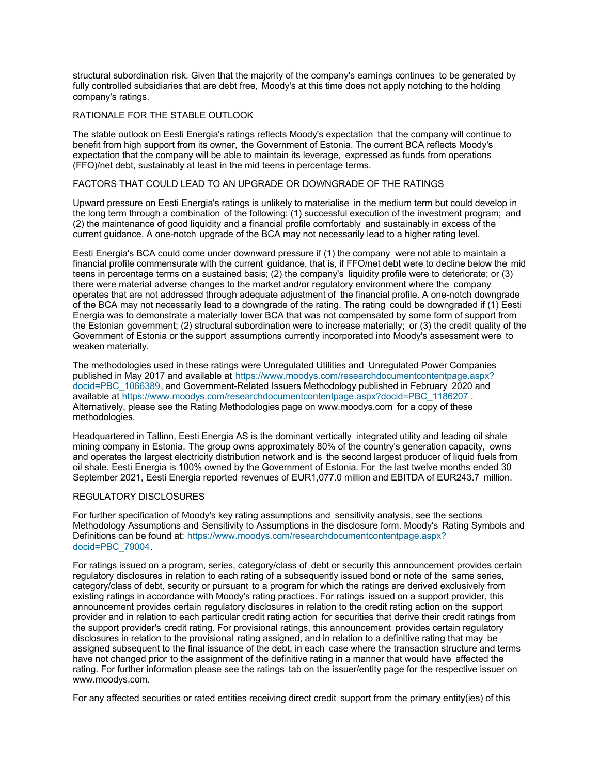structural subordination risk. Given that the majority of the company's earnings continues to be generated by fully controlled subsidiaries that are debt free, Moody's at this time does not apply notching to the holding company's ratings.

### RATIONALE FOR THE STABLE OUTLOOK

The stable outlook on Eesti Energia's ratings reflects Moody's expectation that the company will continue to benefit from high support from its owner, the Government of Estonia. The current BCA reflects Moody's expectation that the company will be able to maintain its leverage, expressed as funds from operations (FFO)/net debt, sustainably at least in the mid teens in percentage terms.

# FACTORS THAT COULD LEAD TO AN UPGRADE OR DOWNGRADE OF THE RATINGS

Upward pressure on Eesti Energia's ratings is unlikely to materialise in the medium term but could develop in the long term through a combination of the following: (1) successful execution of the investment program; and (2) the maintenance of good liquidity and a financial profile comfortably and sustainably in excess of the current guidance. A one-notch upgrade of the BCA may not necessarily lead to a higher rating level.

Eesti Energia's BCA could come under downward pressure if (1) the company were not able to maintain a financial profile commensurate with the current guidance, that is, if FFO/net debt were to decline below the mid teens in percentage terms on a sustained basis; (2) the company's liquidity profile were to deteriorate; or (3) there were material adverse changes to the market and/or regulatory environment where the company operates that are not addressed through adequate adjustment of the financial profile. A one-notch downgrade of the BCA may not necessarily lead to a downgrade of the rating. The rating could be downgraded if (1) Eesti Energia was to demonstrate a materially lower BCA that was not compensated by some form of support from the Estonian government; (2) structural subordination were to increase materially; or (3) the credit quality of the Government of Estonia or the support assumptions currently incorporated into Moody's assessment were to weaken materially.

The methodologies used in these ratings were Unregulated Utilities and Unregulated Power Companies [published in May 2017 and available at https://www.moodys.com/researchdocumentcontentpage.aspx?](https://www.moodys.com/researchdocumentcontentpage.aspx?docid=PBC_1066389) docid=PBC\_1066389, and Government-Related Issuers Methodology published in February 2020 and available at [https://www.moodys.com/researchdocumentcontentpage.aspx?docid=PBC\\_1186207](https://www.moodys.com/researchdocumentcontentpage.aspx?docid=PBC_1186207) . Alternatively, please see the Rating Methodologies page on www.moodys.com for a copy of these methodologies.

Headquartered in Tallinn, Eesti Energia AS is the dominant vertically integrated utility and leading oil shale mining company in Estonia. The group owns approximately 80% of the country's generation capacity, owns and operates the largest electricity distribution network and is the second largest producer of liquid fuels from oil shale. Eesti Energia is 100% owned by the Government of Estonia. For the last twelve months ended 30 September 2021, Eesti Energia reported revenues of EUR1,077.0 million and EBITDA of EUR243.7 million.

# REGULATORY DISCLOSURES

For further specification of Moody's key rating assumptions and sensitivity analysis, see the sections Methodology Assumptions and Sensitivity to Assumptions in the disclosure form. Moody's Rating Symbols and [Definitions can be found at: https://www.moodys.com/researchdocumentcontentpage.aspx?](https://www.moodys.com/researchdocumentcontentpage.aspx?docid=PBC_79004) docid=PBC\_79004.

For ratings issued on a program, series, category/class of debt or security this announcement provides certain regulatory disclosures in relation to each rating of a subsequently issued bond or note of the same series, category/class of debt, security or pursuant to a program for which the ratings are derived exclusively from existing ratings in accordance with Moody's rating practices. For ratings issued on a support provider, this announcement provides certain regulatory disclosures in relation to the credit rating action on the support provider and in relation to each particular credit rating action for securities that derive their credit ratings from the support provider's credit rating. For provisional ratings, this announcement provides certain regulatory disclosures in relation to the provisional rating assigned, and in relation to a definitive rating that may be assigned subsequent to the final issuance of the debt, in each case where the transaction structure and terms have not changed prior to the assignment of the definitive rating in a manner that would have affected the rating. For further information please see the ratings tab on the issuer/entity page for the respective issuer on www.moodys.com.

For any affected securities or rated entities receiving direct credit support from the primary entity(ies) of this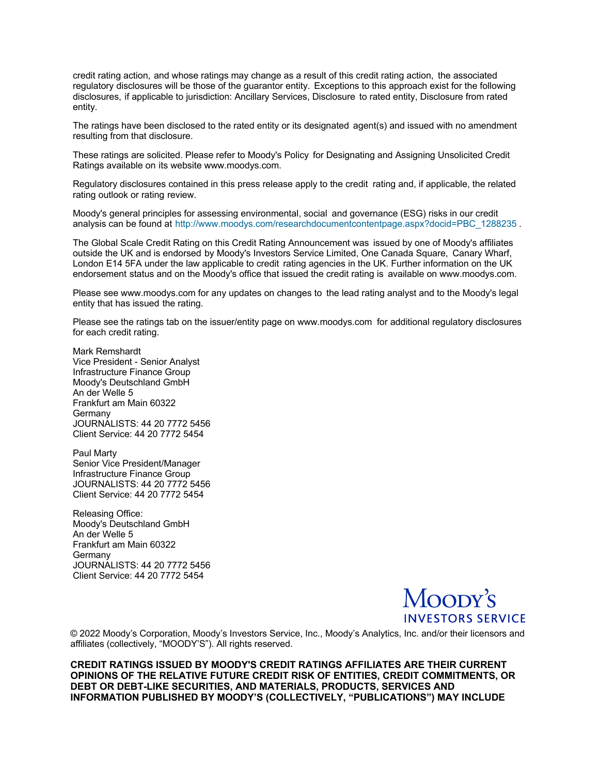credit rating action, and whose ratings may change as a result of this credit rating action, the associated regulatory disclosures will be those of the guarantor entity. Exceptions to this approach exist for the following disclosures, if applicable to jurisdiction: Ancillary Services, Disclosure to rated entity, Disclosure from rated entity.

The ratings have been disclosed to the rated entity or its designated agent(s) and issued with no amendment resulting from that disclosure.

These ratings are solicited. Please refer to Moody's Policy for Designating and Assigning Unsolicited Credit Ratings available on its website www.moodys.com.

Regulatory disclosures contained in this press release apply to the credit rating and, if applicable, the related rating outlook or rating review.

Moody's general principles for assessing environmental, social and governance (ESG) risks in our credit analysis can be found at http://www.moodys.com/researchdocumentcontentpage.aspx?docid=PBC 1288235 .

The Global Scale Credit Rating on this Credit Rating Announcement was issued by one of Moody's affiliates outside the UK and is endorsed by Moody's Investors Service Limited, One Canada Square, Canary Wharf, London E14 5FA under the law applicable to credit rating agencies in the UK. Further information on the UK endorsement status and on the Moody's office that issued the credit rating is available on www.moodys.com.

Please see www.moodys.com for any updates on changes to the lead rating analyst and to the Moody's legal entity that has issued the rating.

Please see the ratings tab on the issuer/entity page on www.moodys.com for additional regulatory disclosures for each credit rating.

Mark Remshardt Vice President - Senior Analyst Infrastructure Finance Group Moody's Deutschland GmbH An der Welle 5 Frankfurt am Main 60322 Germany JOURNALISTS: 44 20 7772 5456 Client Service: 44 20 7772 5454

Paul Marty Senior Vice President/Manager Infrastructure Finance Group JOURNALISTS: 44 20 7772 5456 Client Service: 44 20 7772 5454

Releasing Office: Moody's Deutschland GmbH An der Welle 5 Frankfurt am Main 60322 **Germany** JOURNALISTS: 44 20 7772 5456 Client Service: 44 20 7772 5454



© 2022 Moody's Corporation, Moody's Investors Service, Inc., Moody's Analytics, Inc. and/or their licensors and affiliates (collectively, "MOODY'S"). All rights reserved.

**CREDIT RATINGS ISSUED BY MOODY'S CREDIT RATINGS AFFILIATES ARE THEIR CURRENT OPINIONS OF THE RELATIVE FUTURE CREDIT RISK OF ENTITIES, CREDIT COMMITMENTS, OR DEBT OR DEBT-LIKE SECURITIES, AND MATERIALS, PRODUCTS, SERVICES AND INFORMATION PUBLISHED BY MOODY'S (COLLECTIVELY, "PUBLICATIONS") MAY INCLUDE**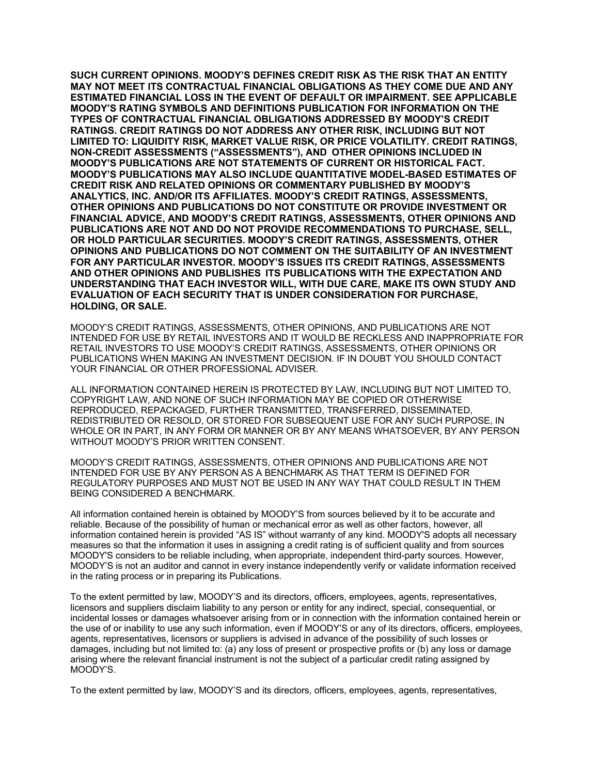**SUCH CURRENT OPINIONS. MOODY'S DEFINES CREDIT RISK AS THE RISK THAT AN ENTITY MAY NOT MEET ITS CONTRACTUAL FINANCIAL OBLIGATIONS AS THEY COME DUE AND ANY ESTIMATED FINANCIAL LOSS IN THE EVENT OF DEFAULT OR IMPAIRMENT. SEE APPLICABLE MOODY'S RATING SYMBOLS AND DEFINITIONS PUBLICATION FOR INFORMATION ON THE TYPES OF CONTRACTUAL FINANCIAL OBLIGATIONS ADDRESSED BY MOODY'S CREDIT RATINGS. CREDIT RATINGS DO NOT ADDRESS ANY OTHER RISK, INCLUDING BUT NOT LIMITED TO: LIQUIDITY RISK, MARKET VALUE RISK, OR PRICE VOLATILITY. CREDIT RATINGS, NON-CREDIT ASSESSMENTS ("ASSESSMENTS"), AND OTHER OPINIONS INCLUDED IN MOODY'S PUBLICATIONS ARE NOT STATEMENTS OF CURRENT OR HISTORICAL FACT. MOODY'S PUBLICATIONS MAY ALSO INCLUDE QUANTITATIVE MODEL-BASED ESTIMATES OF CREDIT RISK AND RELATED OPINIONS OR COMMENTARY PUBLISHED BY MOODY'S ANALYTICS, INC. AND/OR ITS AFFILIATES. MOODY'S CREDIT RATINGS, ASSESSMENTS, OTHER OPINIONS AND PUBLICATIONS DO NOT CONSTITUTE OR PROVIDE INVESTMENT OR FINANCIAL ADVICE, AND MOODY'S CREDIT RATINGS, ASSESSMENTS, OTHER OPINIONS AND PUBLICATIONS ARE NOT AND DO NOT PROVIDE RECOMMENDATIONS TO PURCHASE, SELL, OR HOLD PARTICULAR SECURITIES. MOODY'S CREDIT RATINGS, ASSESSMENTS, OTHER OPINIONS AND PUBLICATIONS DO NOT COMMENT ON THE SUITABILITY OF AN INVESTMENT FOR ANY PARTICULAR INVESTOR. MOODY'S ISSUES ITS CREDIT RATINGS, ASSESSMENTS AND OTHER OPINIONS AND PUBLISHES ITS PUBLICATIONS WITH THE EXPECTATION AND UNDERSTANDING THAT EACH INVESTOR WILL, WITH DUE CARE, MAKE ITS OWN STUDY AND EVALUATION OF EACH SECURITY THAT IS UNDER CONSIDERATION FOR PURCHASE, HOLDING, OR SALE.** 

MOODY'S CREDIT RATINGS, ASSESSMENTS, OTHER OPINIONS, AND PUBLICATIONS ARE NOT INTENDED FOR USE BY RETAIL INVESTORS AND IT WOULD BE RECKLESS AND INAPPROPRIATE FOR RETAIL INVESTORS TO USE MOODY'S CREDIT RATINGS, ASSESSMENTS, OTHER OPINIONS OR PUBLICATIONS WHEN MAKING AN INVESTMENT DECISION. IF IN DOUBT YOU SHOULD CONTACT YOUR FINANCIAL OR OTHER PROFESSIONAL ADVISER.

ALL INFORMATION CONTAINED HEREIN IS PROTECTED BY LAW, INCLUDING BUT NOT LIMITED TO, COPYRIGHT LAW, AND NONE OF SUCH INFORMATION MAY BE COPIED OR OTHERWISE REPRODUCED, REPACKAGED, FURTHER TRANSMITTED, TRANSFERRED, DISSEMINATED, REDISTRIBUTED OR RESOLD, OR STORED FOR SUBSEQUENT USE FOR ANY SUCH PURPOSE, IN WHOLE OR IN PART, IN ANY FORM OR MANNER OR BY ANY MEANS WHATSOEVER, BY ANY PERSON WITHOUT MOODY'S PRIOR WRITTEN CONSENT.

MOODY'S CREDIT RATINGS, ASSESSMENTS, OTHER OPINIONS AND PUBLICATIONS ARE NOT INTENDED FOR USE BY ANY PERSON AS A BENCHMARK AS THAT TERM IS DEFINED FOR REGULATORY PURPOSES AND MUST NOT BE USED IN ANY WAY THAT COULD RESULT IN THEM BEING CONSIDERED A BENCHMARK.

All information contained herein is obtained by MOODY'S from sources believed by it to be accurate and reliable. Because of the possibility of human or mechanical error as well as other factors, however, all information contained herein is provided "AS IS" without warranty of any kind. MOODY'S adopts all necessary measures so that the information it uses in assigning a credit rating is of sufficient quality and from sources MOODY'S considers to be reliable including, when appropriate, independent third-party sources. However, MOODY'S is not an auditor and cannot in every instance independently verify or validate information received in the rating process or in preparing its Publications.

To the extent permitted by law, MOODY'S and its directors, officers, employees, agents, representatives, licensors and suppliers disclaim liability to any person or entity for any indirect, special, consequential, or incidental losses or damages whatsoever arising from or in connection with the information contained herein or the use of or inability to use any such information, even if MOODY'S or any of its directors, officers, employees, agents, representatives, licensors or suppliers is advised in advance of the possibility of such losses or damages, including but not limited to: (a) any loss of present or prospective profits or (b) any loss or damage arising where the relevant financial instrument is not the subject of a particular credit rating assigned by MOODY'S.

To the extent permitted by law, MOODY'S and its directors, officers, employees, agents, representatives,